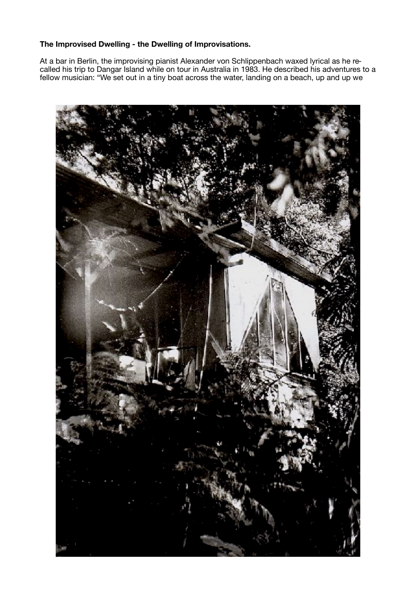## **The Improvised Dwelling - the Dwelling of Improvisations.**

At a bar in Berlin, the improvising pianist Alexander von Schlippenbach waxed lyrical as he recalled his trip to Dangar Island while on tour in Australia in 1983. He described his adventures to a fellow musician: "We set out in a tiny boat across the water, landing on a beach, up and up we

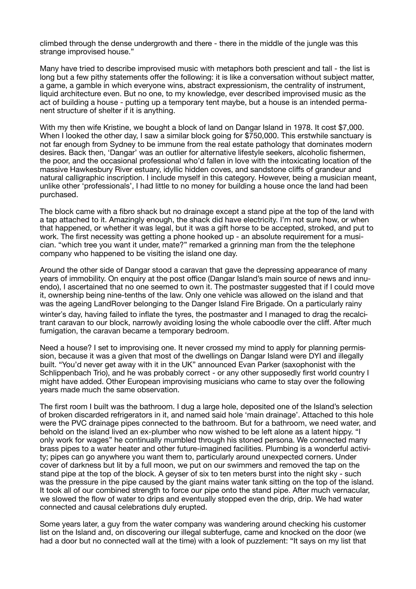climbed through the dense undergrowth and there - there in the middle of the jungle was this strange improvised house."

Many have tried to describe improvised music with metaphors both prescient and tall - the list is long but a few pithy statements offer the following: it is like a conversation without subject matter, a game, a gamble in which everyone wins, abstract expressionism, the centrality of instrument, liquid architecture even. But no one, to my knowledge, ever described improvised music as the act of building a house - putting up a temporary tent maybe, but a house is an intended permanent structure of shelter if it is anything.

With my then wife Kristine, we bought a block of land on Dangar Island in 1978. It cost \$7,000. When I looked the other day, I saw a similar block going for \$750,000. This erstwhile sanctuary is not far enough from Sydney to be immune from the real estate pathology that dominates modern desires. Back then, 'Dangar' was an outlier for alternative lifestyle seekers, alcoholic fishermen, the poor, and the occasional professional who'd fallen in love with the intoxicating location of the massive Hawkesbury River estuary, idyllic hidden coves, and sandstone cliffs of grandeur and natural calligraphic inscription. I include myself in this category. However, being a musician meant, unlike other 'professionals', I had little to no money for building a house once the land had been purchased.

The block came with a fibro shack but no drainage except a stand pipe at the top of the land with a tap attached to it. Amazingly enough, the shack did have electricity. I'm not sure how, or when that happened, or whether it was legal, but it was a gift horse to be accepted, stroked, and put to work. The first necessity was getting a phone hooked up - an absolute requirement for a musician. "which tree you want it under, mate?" remarked a grinning man from the the telephone company who happened to be visiting the island one day.

Around the other side of Dangar stood a caravan that gave the depressing appearance of many years of immobility. On enquiry at the post office (Dangar Island's main source of news and innuendo), I ascertained that no one seemed to own it. The postmaster suggested that if I could move it, ownership being nine-tenths of the law. Only one vehicle was allowed on the island and that was the ageing LandRover belonging to the Danger Island Fire Brigade. On a particularly rainy winter's day, having failed to inflate the tyres, the postmaster and I managed to drag the recalcitrant caravan to our block, narrowly avoiding losing the whole caboodle over the cliff. After much fumigation, the caravan became a temporary bedroom.

Need a house? I set to improvising one. It never crossed my mind to apply for planning permission, because it was a given that most of the dwellings on Dangar Island were DYI and illegally built. "You'd never get away with it in the UK" announced Evan Parker (saxophonist with the Schlippenbach Trio), and he was probably correct - or any other supposedly first world country I might have added. Other European improvising musicians who came to stay over the following years made much the same observation.

The first room I built was the bathroom. I dug a large hole, deposited one of the Island's selection of broken discarded refrigerators in it, and named said hole 'main drainage'. Attached to this hole were the PVC drainage pipes connected to the bathroom. But for a bathroom, we need water, and behold on the island lived an ex-plumber who now wished to be left alone as a latent hippy. "I only work for wages" he continually mumbled through his stoned persona. We connected many brass pipes to a water heater and other future-imagined facilities. Plumbing is a wonderful activity; pipes can go anywhere you want them to, particularly around unexpected corners. Under cover of darkness but lit by a full moon, we put on our swimmers and removed the tap on the stand pipe at the top of the block. A geyser of six to ten meters burst into the night sky - such was the pressure in the pipe caused by the giant mains water tank sitting on the top of the island. It took all of our combined strength to force our pipe onto the stand pipe. After much vernacular, we slowed the flow of water to drips and eventually stopped even the drip, drip. We had water connected and causal celebrations duly erupted.

Some years later, a guy from the water company was wandering around checking his customer list on the Island and, on discovering our illegal subterfuge, came and knocked on the door (we had a door but no connected wall at the time) with a look of puzzlement: "It says on my list that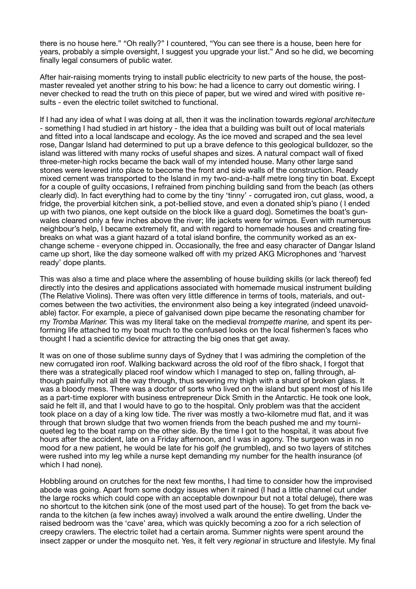there is no house here." "Oh really?" I countered, "You can see there is a house, been here for years, probably a simple oversight, I suggest you upgrade your list." And so he did, we becoming finally legal consumers of public water.

After hair-raising moments trying to install public electricity to new parts of the house, the postmaster revealed yet another string to his bow: he had a licence to carry out domestic wiring. I never checked to read the truth on this piece of paper, but we wired and wired with positive results - even the electric toilet switched to functional.

If I had any idea of what I was doing at all, then it was the inclination towards *regional architecture*  - something I had studied in art history - the idea that a building was built out of local materials and fitted into a local landscape and ecology. As the ice moved and scraped and the sea level rose, Dangar Island had determined to put up a brave defence to this geological bulldozer, so the island was littered with many rocks of useful shapes and sizes. A natural compact wall of fixed three-meter-high rocks became the back wall of my intended house. Many other large sand stones were levered into place to become the front and side walls of the construction. Ready mixed cement was transported to the Island in my two-and-a-half metre long tiny tin boat. Except for a couple of guilty occasions, I refrained from pinching building sand from the beach (as others clearly did). In fact everything had to come by the tiny 'tinny' - corrugated iron, cut glass, wood, a fridge, the proverbial kitchen sink, a pot-bellied stove, and even a donated ship's piano ( I ended up with two pianos, one kept outside on the block like a guard dog). Sometimes the boat's gunwales cleared only a few inches above the river; life jackets were for wimps. Even with numerous neighbour's help, I became extremely fit, and with regard to homemade houses and creating firebreaks on what was a giant hazard of a total island bonfire, the community worked as an exchange scheme - everyone chipped in. Occasionally, the free and easy character of Dangar Island came up short, like the day someone walked off with my prized AKG Microphones and 'harvest ready' dope plants.

This was also a time and place where the assembling of house building skills (or lack thereof) fed directly into the desires and applications associated with homemade musical instrument building (The Relative Violins). There was often very little difference in terms of tools, materials, and outcomes between the two activities, the environment also being a key integrated (indeed unavoidable) factor. For example, a piece of galvanised down pipe became the resonating chamber for my *Tromba Mariner.* This was my literal take on the medieval *trompette marine,* and spent its performing life attached to my boat much to the confused looks on the local fishermen's faces who thought I had a scientific device for attracting the big ones that get away.

It was on one of those sublime sunny days of Sydney that I was admiring the completion of the new corrugated iron roof. Walking backward across the old roof of the fibro shack, I forgot that there was a strategically placed roof window which I managed to step on, falling through, although painfully not all the way through, thus severing my thigh with a shard of broken glass. It was a bloody mess. There was a doctor of sorts who lived on the island but spent most of his life as a part-time explorer with business entrepreneur Dick Smith in the Antarctic. He took one look, said he felt ill, and that I would have to go to the hospital. Only problem was that the accident took place on a day of a king low tide. The river was mostly a two-kilometre mud flat, and it was through that brown sludge that two women friends from the beach pushed me and my tourniqueted leg to the boat ramp on the other side. By the time I got to the hospital, it was about five hours after the accident, late on a Friday afternoon, and I was in agony. The surgeon was in no mood for a new patient, he would be late for his golf (he grumbled), and so two layers of stitches were rushed into my leg while a nurse kept demanding my number for the health insurance (of which I had none).

Hobbling around on crutches for the next few months, I had time to consider how the improvised abode was going. Apart from some dodgy issues when it rained (I had a little channel cut under the large rocks which could cope with an acceptable downpour but not a total deluge), there was no shortcut to the kitchen sink (one of the most used part of the house). To get from the back veranda to the kitchen (a few inches away) involved a walk around the entire dwelling. Under the raised bedroom was the 'cave' area, which was quickly becoming a zoo for a rich selection of creepy crawlers. The electric toilet had a certain aroma. Summer nights were spent around the insect zapper or under the mosquito net. Yes, it felt very *regional* in structure and lifestyle. My final